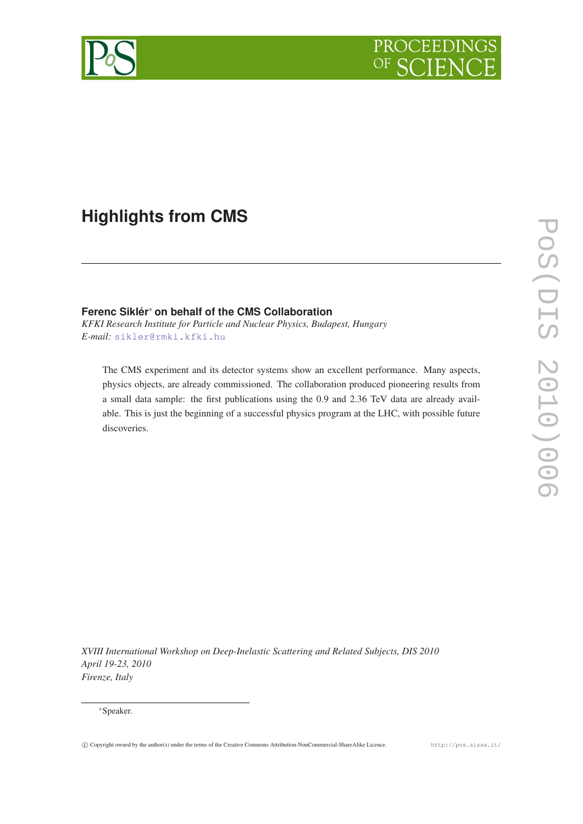

# **Highlights from CMS**

# **Ferenc Siklér**<sup>∗</sup> **on behalf of the CMS Collaboration**

*KFKI Research Institute for Particle and Nuclear Physics, Budapest, Hungary E-mail:* [sikler@rmki.kfki.hu](mailto:sikler@rmki.kfki.hu)

The CMS experiment and its detector systems show an excellent performance. Many aspects, physics objects, are already commissioned. The collaboration produced pioneering results from a small data sample: the first publications using the 0.9 and 2.36 TeV data are already available. This is just the beginning of a successful physics program at the LHC, with possible future discoveries.

*XVIII International Workshop on Deep-Inelastic Scattering and Related Subjects, DIS 2010 April 19-23, 2010 Firenze, Italy*

<sup>∗</sup>Speaker.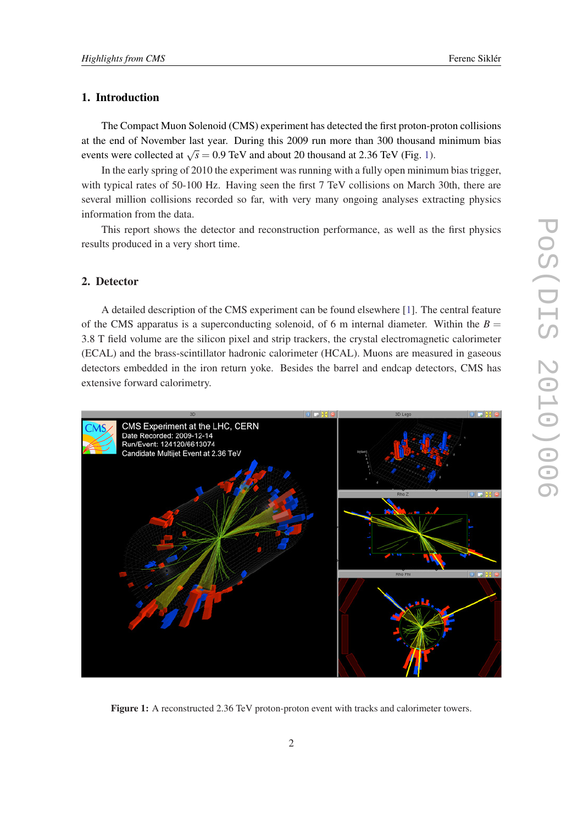# 1. Introduction

The Compact Muon Solenoid (CMS) experiment has detected the first proton-proton collisions at the end of November last year. During this 2009 run more than 300 thousand minimum bias events were collected at  $\sqrt{s} = 0.9$  TeV and about 20 thousand at 2.36 TeV (Fig. 1).

In the early spring of 2010 the experiment was running with a fully open minimum bias trigger, with typical rates of 50-100 Hz. Having seen the first 7 TeV collisions on March 30th, there are several million collisions recorded so far, with very many ongoing analyses extracting physics information from the data.

This report shows the detector and reconstruction performance, as well as the first physics results produced in a very short time.

## 2. Detector

A detailed description of the CMS experiment can be found elsewhere [[1](#page-9-0)]. The central feature of the CMS apparatus is a superconducting solenoid, of 6 m internal diameter. Within the  $B =$ 3.8 T field volume are the silicon pixel and strip trackers, the crystal electromagnetic calorimeter (ECAL) and the brass-scintillator hadronic calorimeter (HCAL). Muons are measured in gaseous detectors embedded in the iron return yoke. Besides the barrel and endcap detectors, CMS has extensive forward calorimetry.



Figure 1: A reconstructed 2.36 TeV proton-proton event with tracks and calorimeter towers.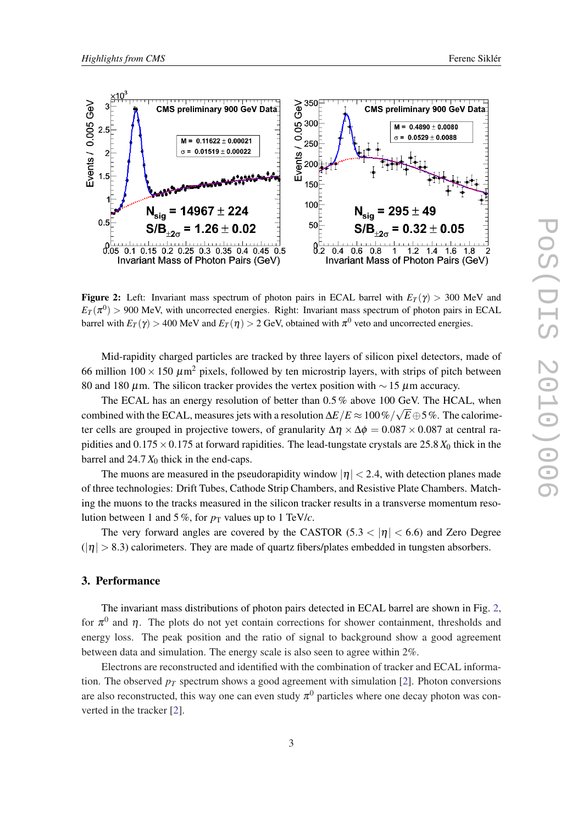

**Figure 2:** Left: Invariant mass spectrum of photon pairs in ECAL barrel with  $E_T(\gamma) > 300$  MeV and  $E_T(\pi^0) > 900$  MeV, with uncorrected energies. Right: Invariant mass spectrum of photon pairs in ECAL barrel with  $E_T(\gamma) >$  400 MeV and  $E_T(\eta) >$  2 GeV, obtained with  $\pi^0$  veto and uncorrected energies.

Mid-rapidity charged particles are tracked by three layers of silicon pixel detectors, made of 66 million  $100 \times 150 \ \mu m^2$  pixels, followed by ten microstrip layers, with strips of pitch between 80 and 180  $\mu$ m. The silicon tracker provides the vertex position with  $\sim$  15  $\mu$ m accuracy.

The ECAL has an energy resolution of better than  $0.5\%$  above 100 GeV. The HCAL, when combined with the ECAL, measures jets with a resolution  $\Delta E/E \approx 100\,\%/\sqrt{E\oplus}5\,\%$  . The calorimeter cells are grouped in projective towers, of granularity  $\Delta \eta \times \Delta \phi = 0.087 \times 0.087$  at central rapidities and  $0.175 \times 0.175$  at forward rapidities. The lead-tungstate crystals are 25.8  $X_0$  thick in the barrel and 24.7 *X*<sup>0</sup> thick in the end-caps.

The muons are measured in the pseudorapidity window  $|\eta| < 2.4$ , with detection planes made of three technologies: Drift Tubes, Cathode Strip Chambers, and Resistive Plate Chambers. Matching the muons to the tracks measured in the silicon tracker results in a transverse momentum resolution between 1 and 5%, for  $p<sub>T</sub>$  values up to 1 TeV/*c*.

The very forward angles are covered by the CASTOR (5.3  $<$  | $\eta$ |  $<$  6.6) and Zero Degree  $(|\eta| > 8.3)$  calorimeters. They are made of quartz fibers/plates embedded in tungsten absorbers.

#### 3. Performance

The invariant mass distributions of photon pairs detected in ECAL barrel are shown in Fig. 2, for  $\pi^0$  and  $\eta$ . The plots do not yet contain corrections for shower containment, thresholds and energy loss. The peak position and the ratio of signal to background show a good agreement between data and simulation. The energy scale is also seen to agree within 2%.

Electrons are reconstructed and identified with the combination of tracker and ECAL information. The observed  $p_T$  spectrum shows a good agreement with simulation [\[2\]](#page-9-0). Photon conversions are also reconstructed, this way one can even study  $\pi^0$  particles where one decay photon was converted in the tracker [[2](#page-9-0)].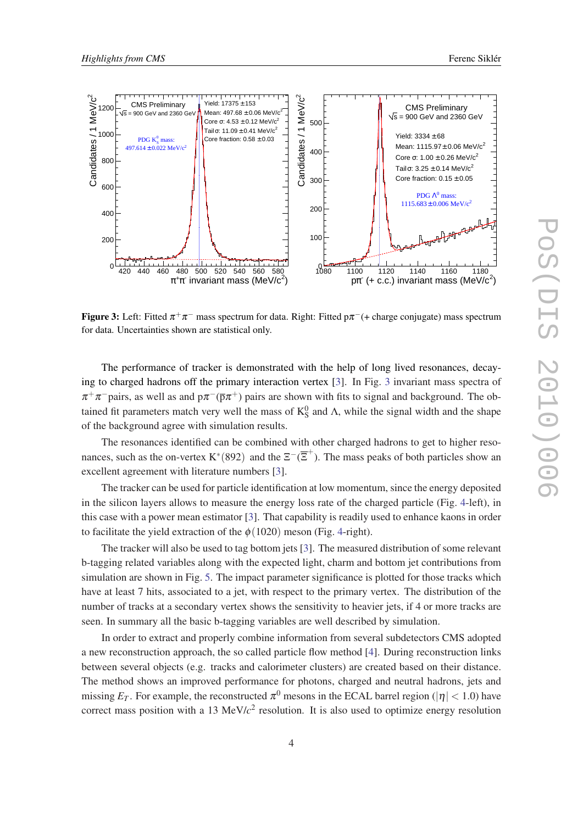

**Figure 3:** Left: Fitted  $\pi^+\pi^-$  mass spectrum for data. Right: Fitted p $\pi^-$ (+ charge conjugate) mass spectrum for data. Uncertainties shown are statistical only.

The performance of tracker is demonstrated with the help of long lived resonances, decaying to charged hadrons off the primary interaction vertex [[3](#page-9-0)]. In Fig. 3 invariant mass spectra of  $\pi^+\pi^-$ pairs, as well as and p $\pi^-(\bar{p}\pi^+)$  pairs are shown with fits to signal and background. The obtained fit parameters match very well the mass of  $K_S^0$  and  $\Lambda$ , while the signal width and the shape of the background agree with simulation results.

The resonances identified can be combined with other charged hadrons to get to higher resonances, such as the on-vertex K<sup>\*</sup>(892) and the  $\Xi^{-}(\overline{\Xi}^{+})$ . The mass peaks of both particles show an excellent agreement with literature numbers [[3](#page-9-0)].

The tracker can be used for particle identification at low momentum, since the energy deposited in the silicon layers allows to measure the energy loss rate of the charged particle (Fig. [4-](#page-4-0)left), in this case with a power mean estimator [[3](#page-9-0)]. That capability is readily used to enhance kaons in order to facilitate the yield extraction of the  $\phi(1020)$  meson (Fig. [4](#page-4-0)-right).

The tracker will also be used to tag bottom jets [[3](#page-9-0)]. The measured distribution of some relevant b-tagging related variables along with the expected light, charm and bottom jet contributions from simulation are shown in Fig. [5.](#page-4-0) The impact parameter significance is plotted for those tracks which have at least 7 hits, associated to a jet, with respect to the primary vertex. The distribution of the number of tracks at a secondary vertex shows the sensitivity to heavier jets, if 4 or more tracks are seen. In summary all the basic b-tagging variables are well described by simulation.

In order to extract and properly combine information from several subdetectors CMS adopted a new reconstruction approach, the so called particle flow method [\[4\]](#page-9-0). During reconstruction links between several objects (e.g. tracks and calorimeter clusters) are created based on their distance. The method shows an improved performance for photons, charged and neutral hadrons, jets and missing  $E_T$ . For example, the reconstructed  $\pi^0$  mesons in the ECAL barrel region ( $|\eta|$  < 1.0) have correct mass position with a 13 MeV/*c* 2 resolution. It is also used to optimize energy resolution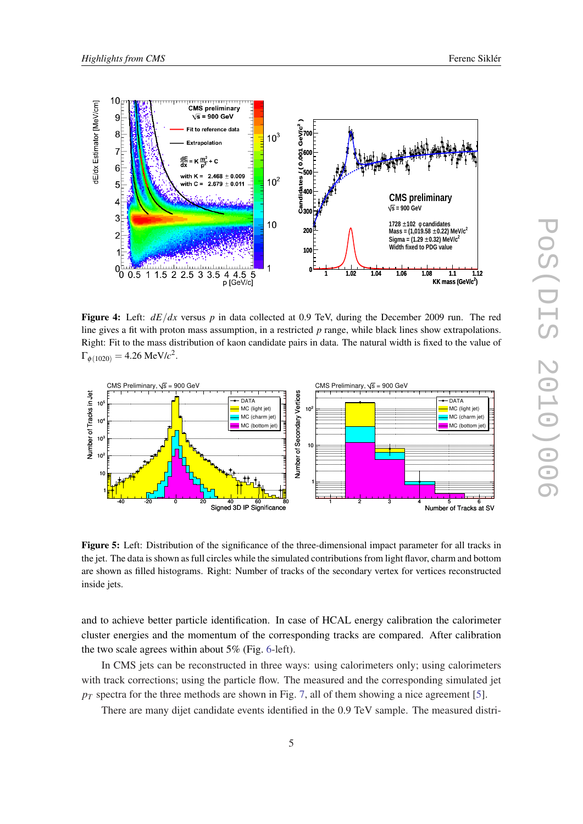<span id="page-4-0"></span>

Figure 4: Left:  $dE/dx$  versus p in data collected at 0.9 TeV, during the December 2009 run. The red line gives a fit with proton mass assumption, in a restricted *p* range, while black lines show extrapolations. Right: Fit to the mass distribution of kaon candidate pairs in data. The natural width is fixed to the value of  $\Gamma_{\phi(1020)} = 4.26 \text{ MeV}/c^2.$ 



Figure 5: Left: Distribution of the significance of the three-dimensional impact parameter for all tracks in the jet. The data is shown as full circles while the simulated contributions from light flavor, charm and bottom are shown as filled histograms. Right: Number of tracks of the secondary vertex for vertices reconstructed inside jets.

and to achieve better particle identification. In case of HCAL energy calibration the calorimeter cluster energies and the momentum of the corresponding tracks are compared. After calibration the two scale agrees within about 5% (Fig. [6](#page-5-0)-left).

In CMS jets can be reconstructed in three ways: using calorimeters only; using calorimeters with track corrections; using the particle flow. The measured and the corresponding simulated jet  $p_T$  spectra for the three methods are shown in Fig. [7](#page-5-0), all of them showing a nice agreement [\[5\]](#page-9-0).

There are many dijet candidate events identified in the 0.9 TeV sample. The measured distri-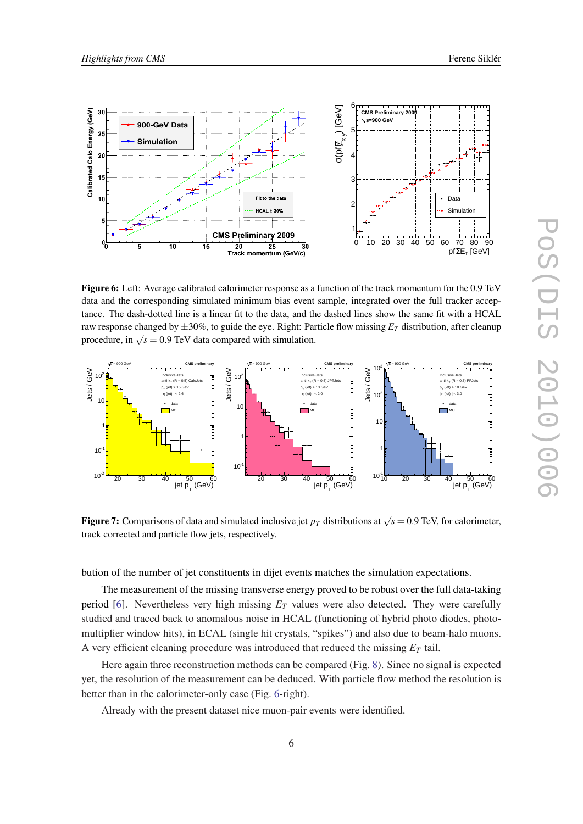<span id="page-5-0"></span>

Figure 6: Left: Average calibrated calorimeter response as a function of the track momentum for the 0.9 TeV data and the corresponding simulated minimum bias event sample, integrated over the full tracker acceptance. The dash-dotted line is a linear fit to the data, and the dashed lines show the same fit with a HCAL raw response changed by  $\pm 30\%$ , to guide the eye. Right: Particle flow missing  $E_T$  distribution, after cleanup procedure, in  $\sqrt{s} = 0.9$  TeV data compared with simulation.



Figure 7: Comparisons of data and simulated inclusive jet  $p_T$  distributions at  $\sqrt{s} = 0.9$  TeV, for calorimeter, track corrected and particle flow jets, respectively.

bution of the number of jet constituents in dijet events matches the simulation expectations.

The measurement of the missing transverse energy proved to be robust over the full data-taking period [[6](#page-9-0)]. Nevertheless very high missing *E<sup>T</sup>* values were also detected. They were carefully studied and traced back to anomalous noise in HCAL (functioning of hybrid photo diodes, photomultiplier window hits), in ECAL (single hit crystals, "spikes") and also due to beam-halo muons. A very efficient cleaning procedure was introduced that reduced the missing *E<sup>T</sup>* tail.

Here again three reconstruction methods can be compared (Fig. [8\)](#page-6-0). Since no signal is expected yet, the resolution of the measurement can be deduced. With particle flow method the resolution is better than in the calorimeter-only case (Fig. 6-right).

Already with the present dataset nice muon-pair events were identified.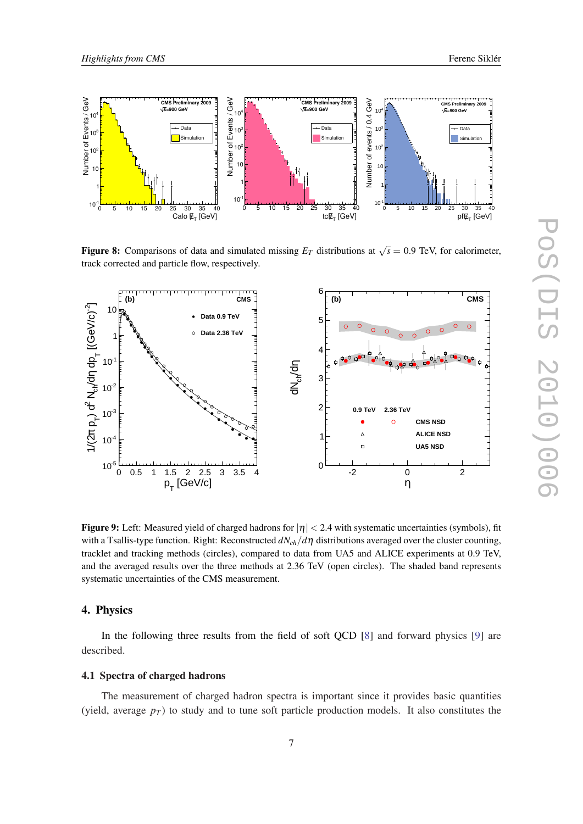<span id="page-6-0"></span>

**Figure 8:** Comparisons of data and simulated missing  $E_T$  distributions at  $\sqrt{s} = 0.9$  TeV, for calorimeter, track corrected and particle flow, respectively.



Figure 9: Left: Measured yield of charged hadrons for  $|\eta| < 2.4$  with systematic uncertainties (symbols), fit with a Tsallis-type function. Right: Reconstructed *dNch*/*d*η distributions averaged over the cluster counting, tracklet and tracking methods (circles), compared to data from UA5 and ALICE experiments at 0.9 TeV, and the averaged results over the three methods at 2.36 TeV (open circles). The shaded band represents systematic uncertainties of the CMS measurement.

# 4. Physics

In the following three results from the field of soft QCD [\[8\]](#page-9-0) and forward physics [\[9\]](#page-10-0) are described.

#### 4.1 Spectra of charged hadrons

The measurement of charged hadron spectra is important since it provides basic quantities (yield, average  $p_T$ ) to study and to tune soft particle production models. It also constitutes the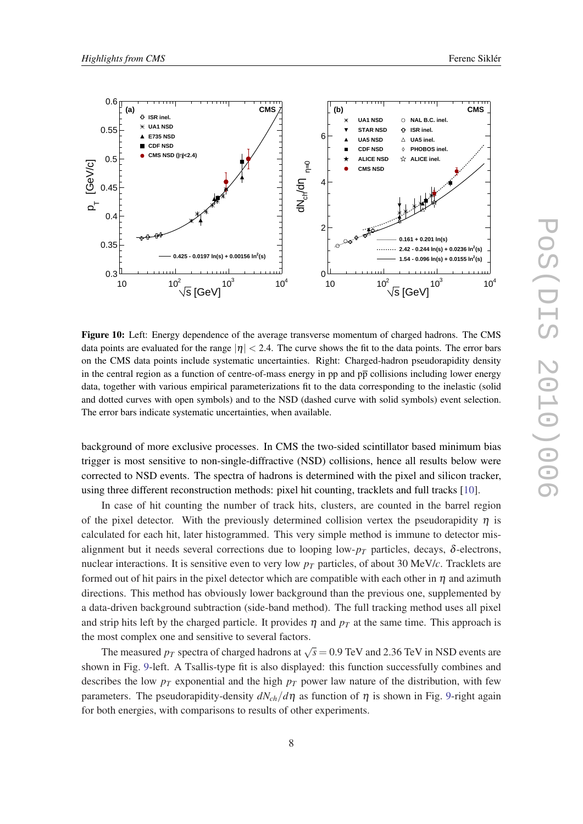<span id="page-7-0"></span>

Figure 10: Left: Energy dependence of the average transverse momentum of charged hadrons. The CMS data points are evaluated for the range  $|\eta| < 2.4$ . The curve shows the fit to the data points. The error bars on the CMS data points include systematic uncertainties. Right: Charged-hadron pseudorapidity density in the central region as a function of centre-of-mass energy in pp and  $p\bar{p}$  collisions including lower energy data, together with various empirical parameterizations fit to the data corresponding to the inelastic (solid and dotted curves with open symbols) and to the NSD (dashed curve with solid symbols) event selection. The error bars indicate systematic uncertainties, when available.

background of more exclusive processes. In CMS the two-sided scintillator based minimum bias trigger is most sensitive to non-single-diffractive (NSD) collisions, hence all results below were corrected to NSD events. The spectra of hadrons is determined with the pixel and silicon tracker, using three different reconstruction methods: pixel hit counting, tracklets and full tracks [\[10](#page-10-0)].

In case of hit counting the number of track hits, clusters, are counted in the barrel region of the pixel detector. With the previously determined collision vertex the pseudorapidity  $\eta$  is calculated for each hit, later histogrammed. This very simple method is immune to detector misalignment but it needs several corrections due to looping low- $p<sub>T</sub>$  particles, decays,  $\delta$ -electrons, nuclear interactions. It is sensitive even to very low *p<sup>T</sup>* particles, of about 30 MeV/*c*. Tracklets are formed out of hit pairs in the pixel detector which are compatible with each other in  $\eta$  and azimuth directions. This method has obviously lower background than the previous one, supplemented by a data-driven background subtraction (side-band method). The full tracking method uses all pixel and strip hits left by the charged particle. It provides  $\eta$  and  $p<sub>T</sub>$  at the same time. This approach is the most complex one and sensitive to several factors.

The measured  $p_T$  spectra of charged hadrons at  $\sqrt{s} = 0.9$  TeV and 2.36 TeV in NSD events are shown in Fig. [9](#page-6-0)-left. A Tsallis-type fit is also displayed: this function successfully combines and describes the low  $p_T$  exponential and the high  $p_T$  power law nature of the distribution, with few parameters. The pseudorapidity-density  $dN_{ch}/d\eta$  as function of  $\eta$  is shown in Fig. [9-](#page-6-0)right again for both energies, with comparisons to results of other experiments.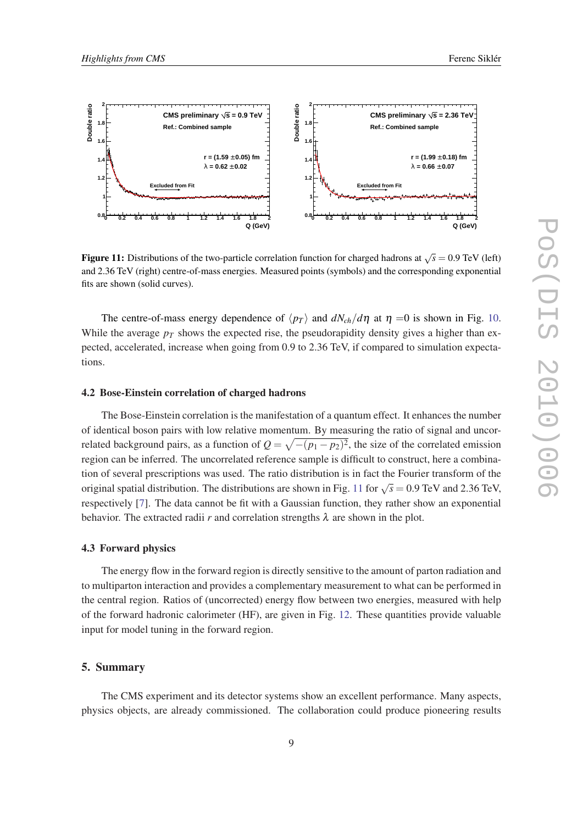



**Figure 11:** Distributions of the two-particle correlation function for charged hadrons at  $\sqrt{s} = 0.9$  TeV (left) and 2.36 TeV (right) centre-of-mass energies. Measured points (symbols) and the corresponding exponential fits are shown (solid curves).

The centre-of-mass energy dependence of  $\langle p_T \rangle$  and  $dN_{ch}/d\eta$  at  $\eta = 0$  is shown in Fig. [10](#page-7-0). While the average  $p_T$  shows the expected rise, the pseudorapidity density gives a higher than expected, accelerated, increase when going from 0.9 to 2.36 TeV, if compared to simulation expectations.

#### 4.2 Bose-Einstein correlation of charged hadrons

The Bose-Einstein correlation is the manifestation of a quantum effect. It enhances the number of identical boson pairs with low relative momentum. By measuring the ratio of signal and uncorrelated background pairs, as a function of  $Q = \sqrt{-(p_1 - p_2)^2}$ , the size of the correlated emission region can be inferred. The uncorrelated reference sample is difficult to construct, here a combination of several prescriptions was used. The ratio distribution is in fact the Fourier transform of the original spatial distribution. The distributions are shown in Fig. 11 for  $\sqrt{s} = 0.9$  TeV and 2.36 TeV, respectively [\[7\]](#page-9-0). The data cannot be fit with a Gaussian function, they rather show an exponential behavior. The extracted radii *r* and correlation strengths  $\lambda$  are shown in the plot.

#### 4.3 Forward physics

The energy flow in the forward region is directly sensitive to the amount of parton radiation and to multiparton interaction and provides a complementary measurement to what can be performed in the central region. Ratios of (uncorrected) energy flow between two energies, measured with help of the forward hadronic calorimeter (HF), are given in Fig. [12.](#page-9-0) These quantities provide valuable input for model tuning in the forward region.

#### 5. Summary

The CMS experiment and its detector systems show an excellent performance. Many aspects, physics objects, are already commissioned. The collaboration could produce pioneering results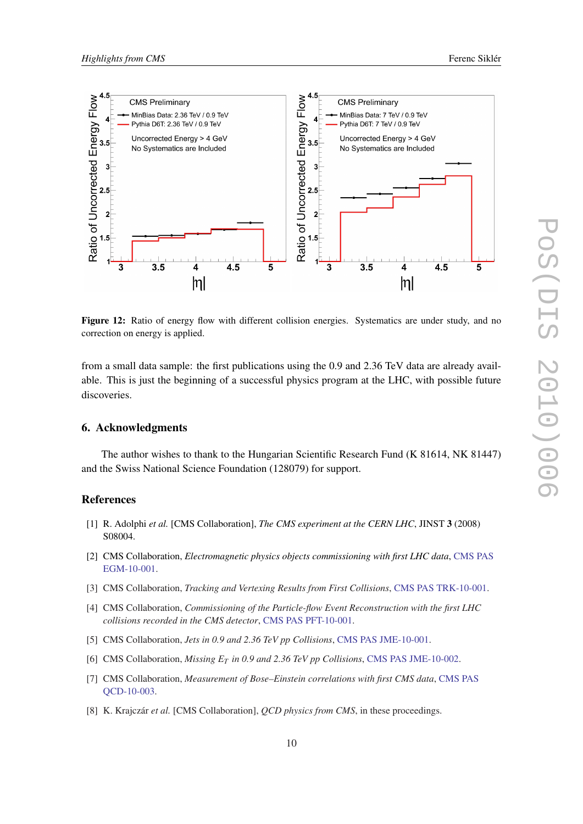<span id="page-9-0"></span>

Figure 12: Ratio of energy flow with different collision energies. Systematics are under study, and no correction on energy is applied.

from a small data sample: the first publications using the 0.9 and 2.36 TeV data are already available. This is just the beginning of a successful physics program at the LHC, with possible future discoveries.

#### 6. Acknowledgments

The author wishes to thank to the Hungarian Scientific Research Fund (K 81614, NK 81447) and the Swiss National Science Foundation (128079) for support.

### References

- [1] R. Adolphi *et al.* [CMS Collaboration], *The CMS experiment at the CERN LHC*, JINST 3 (2008) S08004.
- [2] CMS Collaboration, *Electromagnetic physics objects commissioning with first LHC data*, [CMS PAS](http://cdsweb.cern.ch/record/1247384?ln=en) [EGM-10-001](http://cdsweb.cern.ch/record/1247384?ln=en).
- [3] CMS Collaboration, *Tracking and Vertexing Results from First Collisions*, [CMS PAS TRK-10-001](http://cdsweb.cern.ch/record/1258204?ln=en).
- [4] CMS Collaboration, *Commissioning of the Particle-flow Event Reconstruction with the first LHC collisions recorded in the CMS detector*, [CMS PAS PFT-10-001.](http://cdsweb.cern.ch/record/1247373?ln=en)
- [5] CMS Collaboration, *Jets in 0.9 and 2.36 TeV pp Collisions*, [CMS PAS JME-10-001](http://cdsweb.cern.ch/record/1248210?ln=en).
- [6] CMS Collaboration, *Missing E<sup>T</sup> in 0.9 and 2.36 TeV pp Collisions*, [CMS PAS JME-10-002.](http://cdsweb.cern.ch/record/1247385?ln=en)
- [7] CMS Collaboration, *Measurement of Bose–Einstein correlations with first CMS data*, [CMS PAS](http://cdsweb.cern.ch/record/1258681?ln=en) [QCD-10-003.](http://cdsweb.cern.ch/record/1258681?ln=en)
- [8] K. Krajczár *et al.* [CMS Collaboration], *QCD physics from CMS*, in these proceedings.